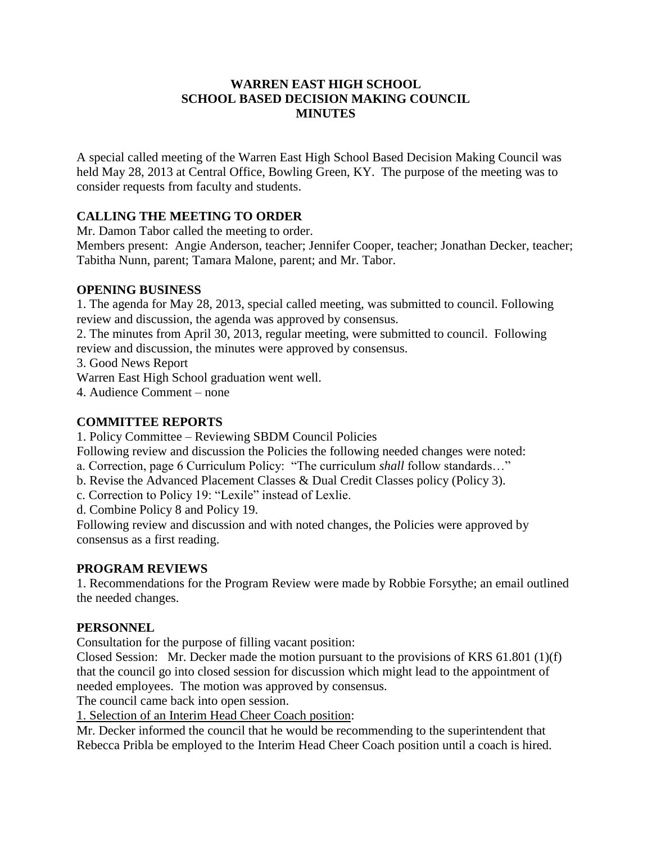## **WARREN EAST HIGH SCHOOL SCHOOL BASED DECISION MAKING COUNCIL MINUTES**

A special called meeting of the Warren East High School Based Decision Making Council was held May 28, 2013 at Central Office, Bowling Green, KY. The purpose of the meeting was to consider requests from faculty and students.

# **CALLING THE MEETING TO ORDER**

Mr. Damon Tabor called the meeting to order.

Members present: Angie Anderson, teacher; Jennifer Cooper, teacher; Jonathan Decker, teacher; Tabitha Nunn, parent; Tamara Malone, parent; and Mr. Tabor.

### **OPENING BUSINESS**

1. The agenda for May 28, 2013, special called meeting, was submitted to council. Following review and discussion, the agenda was approved by consensus.

2. The minutes from April 30, 2013, regular meeting, were submitted to council. Following review and discussion, the minutes were approved by consensus.

3. Good News Report

Warren East High School graduation went well.

4. Audience Comment – none

### **COMMITTEE REPORTS**

1. Policy Committee – Reviewing SBDM Council Policies

Following review and discussion the Policies the following needed changes were noted:

a. Correction, page 6 Curriculum Policy: "The curriculum *shall* follow standards…"

b. Revise the Advanced Placement Classes & Dual Credit Classes policy (Policy 3).

c. Correction to Policy 19: "Lexile" instead of Lexlie.

d. Combine Policy 8 and Policy 19.

Following review and discussion and with noted changes, the Policies were approved by consensus as a first reading.

#### **PROGRAM REVIEWS**

1. Recommendations for the Program Review were made by Robbie Forsythe; an email outlined the needed changes.

## **PERSONNEL**

Consultation for the purpose of filling vacant position:

Closed Session: Mr. Decker made the motion pursuant to the provisions of KRS 61.801 (1)(f) that the council go into closed session for discussion which might lead to the appointment of needed employees. The motion was approved by consensus.

The council came back into open session.

1. Selection of an Interim Head Cheer Coach position:

Mr. Decker informed the council that he would be recommending to the superintendent that Rebecca Pribla be employed to the Interim Head Cheer Coach position until a coach is hired.